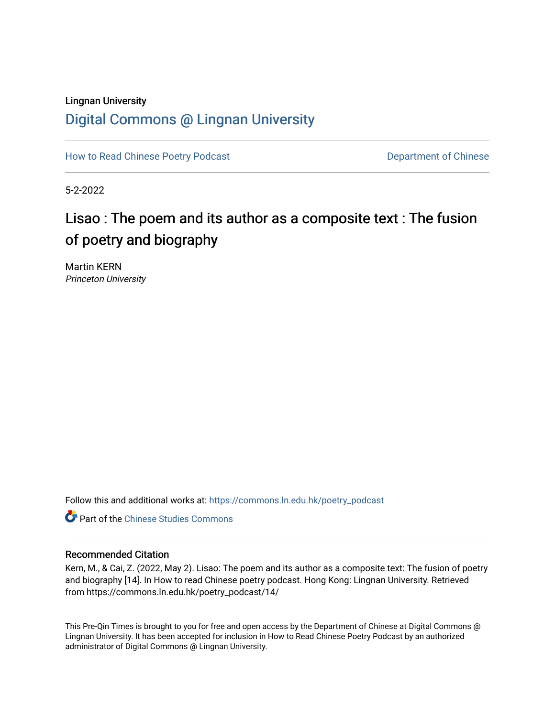### Lingnan University [Digital Commons @ Lingnan University](https://commons.ln.edu.hk/)

[How to Read Chinese Poetry Podcast](https://commons.ln.edu.hk/poetry_podcast) **Department of Chinese** 

5-2-2022

# Lisao : The poem and its author as a composite text : The fusion of poetry and biography

Martin KERN Princeton University

Follow this and additional works at: [https://commons.ln.edu.hk/poetry\\_podcast](https://commons.ln.edu.hk/poetry_podcast?utm_source=commons.ln.edu.hk%2Fpoetry_podcast%2F14&utm_medium=PDF&utm_campaign=PDFCoverPages) 

**C** Part of the [Chinese Studies Commons](https://network.bepress.com/hgg/discipline/1081?utm_source=commons.ln.edu.hk%2Fpoetry_podcast%2F14&utm_medium=PDF&utm_campaign=PDFCoverPages)

#### Recommended Citation

Kern, M., & Cai, Z. (2022, May 2). Lisao: The poem and its author as a composite text: The fusion of poetry and biography [14]. In How to read Chinese poetry podcast. Hong Kong: Lingnan University. Retrieved from https://commons.ln.edu.hk/poetry\_podcast/14/

This Pre-Qin Times is brought to you for free and open access by the Department of Chinese at Digital Commons @ Lingnan University. It has been accepted for inclusion in How to Read Chinese Poetry Podcast by an authorized administrator of Digital Commons @ Lingnan University.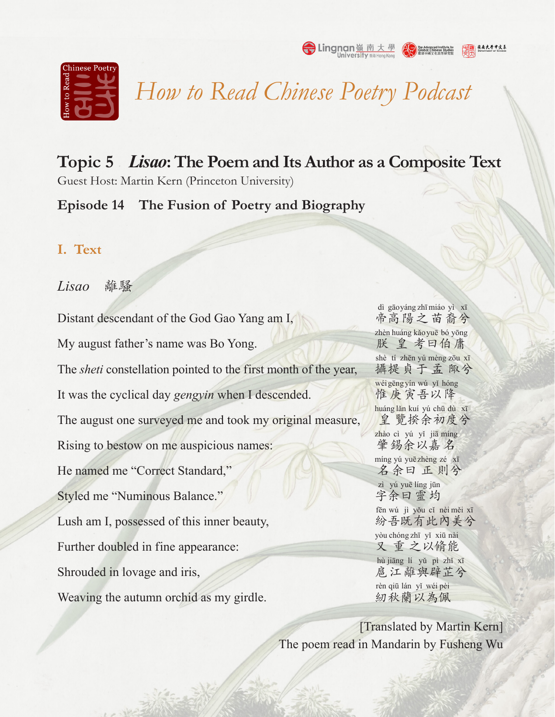

*How to Read Chinese Poetry Podcast*

**Topic 5** *Lisao***: The Poem and Its Author as a Composite Text** Guest Host: Martin Kern (Princeton University)

## **Episode 14 The Fusion of Poetry and Biography**

#### **I. Text**

*Lisao* 離騷

Distant descendant of the God Gao Yang am I, My august father's name was Bo Yong. The *sheti* constellation pointed to the first month of the year, It was the cyclical day *gengyin* when I descended. The august one surveyed me and took my original measure, Rising to bestow on me auspicious names: He named me "Correct Standard," Styled me "Numinous Balance." Lush am I, possessed of this inner beauty, Further doubled in fine appearance: Shrouded in lovage and iris, Weaving the autumn orchid as my girdle.

帝高陽之苗裔兮 dì gāo yáng zhī miáo yì xī 朕 皇 考曰伯庸 zhèn huáng kǎo yuē bó yōng 攝提貞于孟 陬兮 shè tí zhēn yú mèng zōu xī 惟庚寅吾以降 wéi gēng yín wú yǐ hóng 皇 覽揆余初度兮 huáng lăn kuí yú chū dù xī 肇錫余以嘉名 zhào cì yú yǐ jiā míng 名余曰正則兮 míng yú yuē zhèng zé xī 字余曰靈均 zì yú yuē líng jūn 紛吾既有此內美兮 fēn wú jì yǒu cǐ nèi měi xī 又 重 之以脩能 yòu chóng zhī yǐ xiū nài 扈江離與辟芷兮 hù jiāng lí yǔ pì zhǐ xī 紉 秋 蘭 以 為 佩 rèn qiū lán yǐ wéi pèi

[Translated by Martin Kern] The poem read in Mandarin by Fusheng Wu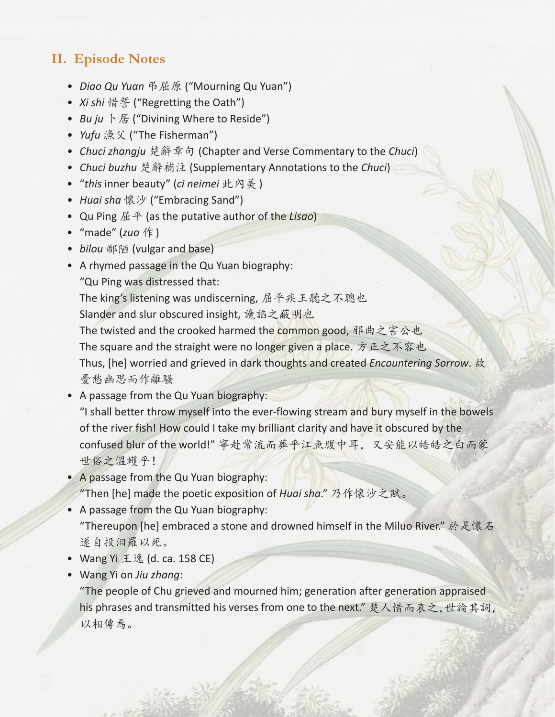# **II. Episode Notes**

- *• Diao Qu Yuan* 弔屈原 ("Mourning Qu Yuan")
- *• Xi shi* 惜誓 ("Regretting the Oath")
- *Bu ju* 卜居 ("Divining Where to Reside")
- *• Yufu* 漁父 ("The Fisherman")
- *• Chuci zhangju* 楚辭章句 (Chapter and Verse Commentary to the *Chuci*)
- *• Chuci buzhu* 楚辭補注 (Supplementary Annotations to the *Chuci*)
- "*this* inner beauty" (*ci neimei* 此內美)
- *• Huai sha* 懷沙 ("Embracing Sand")
- Qu Ping 屈平 (as the putative author of the *Lisao*)
- "made" (*zuo* 作)
- *• bilou* 鄙陋 (vulgar and base)
- A rhymed passage in the Qu Yuan biography:
	- "Qu Ping was distressed that:
	- The king's listening was undiscerning, 屈平疾王聽之不聰也
	- Slander and slur obscured insight, 讒諂之蔽明也
	- The twisted and the crooked harmed the common good, 邪曲之害公也
	- The square and the straight were no longer given a place. 方正之不容也
	- Thus, [he] worried and grieved in dark thoughts and created *Encountering Sorrow*. 故 憂愁幽思而作離騷
- A passage from the Qu Yuan biography:
	- "I shall better throw myself into the ever-flowing stream and bury myself in the bowels of the river fish! How could I take my brilliant clarity and have it obscured by the confused blur of the world!" 寧赴常流而葬乎江魚腹中耳,又安能以皓皓之白而蒙 世俗之溫蠖乎!
- A passage from the Qu Yuan biography: "Then [he] made the poetic exposition of *Huai sha*." 乃作懷沙之賦。
- A passage from the Qu Yuan biography: "Thereupon [he] embraced a stone and drowned himself in the Miluo River." 於是懷石 遂自投汨羅以死。
- Wang Yi 王逸 (d. ca. 158 CE)
- Wang Yi on *Jiu zhang*:

"The people of Chu grieved and mourned him; generation after generation appraised his phrases and transmitted his verses from one to the next." 楚人惜而哀之,世論其詞, 以相傳焉。